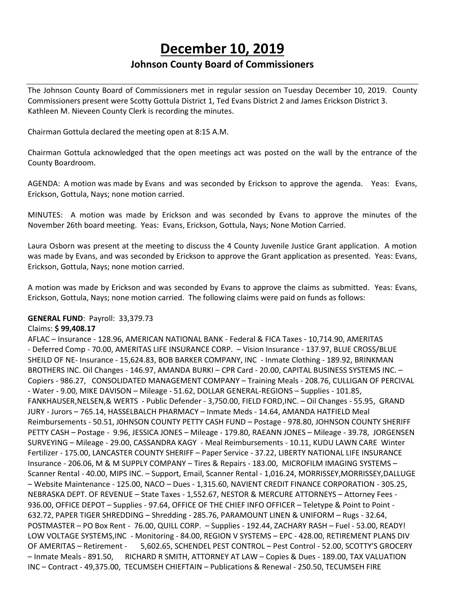# **December 10, 2019**

## **Johnson County Board of Commissioners**

The Johnson County Board of Commissioners met in regular session on Tuesday December 10, 2019. County Commissioners present were Scotty Gottula District 1, Ted Evans District 2 and James Erickson District 3. Kathleen M. Nieveen County Clerk is recording the minutes.

Chairman Gottula declared the meeting open at 8:15 A.M.

Chairman Gottula acknowledged that the open meetings act was posted on the wall by the entrance of the County Boardroom.

AGENDA: A motion was made by Evans and was seconded by Erickson to approve the agenda. Yeas: Evans, Erickson, Gottula, Nays; none motion carried.

MINUTES: A motion was made by Erickson and was seconded by Evans to approve the minutes of the November 26th board meeting. Yeas: Evans, Erickson, Gottula, Nays; None Motion Carried.

Laura Osborn was present at the meeting to discuss the 4 County Juvenile Justice Grant application. A motion was made by Evans, and was seconded by Erickson to approve the Grant application as presented. Yeas: Evans, Erickson, Gottula, Nays; none motion carried.

A motion was made by Erickson and was seconded by Evans to approve the claims as submitted. Yeas: Evans, Erickson, Gottula, Nays; none motion carried. The following claims were paid on funds as follows:

### **GENERAL FUND**: Payroll: 33,379.73

#### Claims: **\$ 99,408.17**

AFLAC – Insurance - 128.96, AMERICAN NATIONAL BANK - Federal & FICA Taxes - 10,714.90, AMERITAS - Deferred Comp - 70.00, AMERITAS LIFE INSURANCE CORP. – Vision Insurance - 137.97, BLUE CROSS/BLUE SHEILD OF NE- Insurance - 15,624.83, BOB BARKER COMPANY, INC - Inmate Clothing - 189.92, BRINKMAN BROTHERS INC. Oil Changes - 146.97, AMANDA BURKI – CPR Card - 20.00, CAPITAL BUSINESS SYSTEMS INC. – Copiers - 986.27, CONSOLIDATED MANAGEMENT COMPANY – Training Meals - 208.76, CULLIGAN OF PERCIVAL - Water - 9.00, MIKE DAVISON – Mileage - 51.62, DOLLAR GENERAL-REGIONS – Supplies - 101.85, FANKHAUSER,NELSEN,& WERTS - Public Defender - 3,750.00, FIELD FORD,INC. – Oil Changes - 55.95, GRAND JURY - Jurors – 765.14, HASSELBALCH PHARMACY – Inmate Meds - 14.64, AMANDA HATFIELD Meal Reimbursements - 50.51, J0HNSON COUNTY PETTY CASH FUND – Postage - 978.80, JOHNSON COUNTY SHERIFF PETTY CASH – Postage - 9.96, JESSICA JONES – Mileage - 179.80, RAEANN JONES – Mileage - 39.78, JORGENSEN SURVEYING – Mileage - 29.00, CASSANDRA KAGY - Meal Reimbursements - 10.11, KUDU LAWN CARE Winter Fertilizer - 175.00, LANCASTER COUNTY SHERIFF – Paper Service - 37.22, LIBERTY NATIONAL LIFE INSURANCE Insurance - 206.06, M & M SUPPLY COMPANY – Tires & Repairs - 183.00, MICROFILM IMAGING SYSTEMS – Scanner Rental - 40.00, MIPS INC. – Support, Email, Scanner Rental - 1,016.24, MORRISSEY,MORRISSEY,DALLUGE – Website Maintenance - 125.00, NACO – Dues - 1,315.60, NAVIENT CREDIT FINANCE CORPORATION - 305.25, NEBRASKA DEPT. OF REVENUE – State Taxes - 1,552.67, NESTOR & MERCURE ATTORNEYS – Attorney Fees - 936.00, OFFICE DEPOT – Supplies - 97.64, OFFICE OF THE CHIEF INFO OFFICER – Teletype & Point to Point - 632.72, PAPER TIGER SHREDDING – Shredding - 285.76, PARAMOUNT LINEN & UNIFORM – Rugs - 32.64, POSTMASTER – PO Box Rent - 76.00, QUILL CORP. – Supplies - 192.44, ZACHARY RASH – Fuel - 53.00, READY! LOW VOLTAGE SYSTEMS,INC - Monitoring - 84.00, REGION V SYSTEMS – EPC - 428.00, RETIREMENT PLANS DIV OF AMERITAS – Retirement - 5,602.65, SCHENDEL PEST CONTROL – Pest Control - 52.00, SCOTTY'S GROCERY – Inmate Meals - 891.50, RICHARD R SMITH, ATTORNEY AT LAW – Copies & Dues - 189.00, TAX VALUATION INC – Contract - 49,375.00, TECUMSEH CHIEFTAIN – Publications & Renewal - 250.50, TECUMSEH FIRE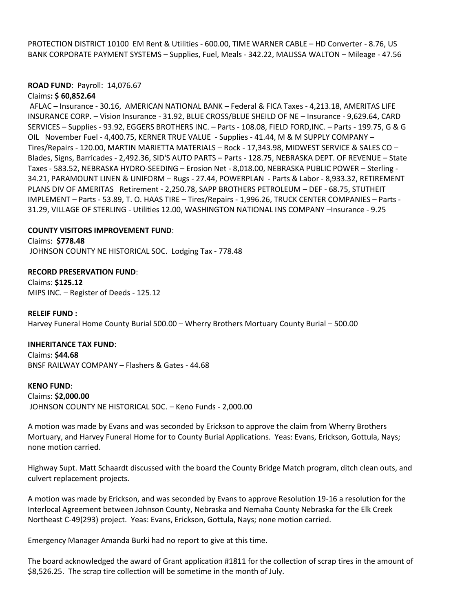PROTECTION DISTRICT 10100 EM Rent & Utilities - 600.00, TIME WARNER CABLE – HD Converter - 8.76, US BANK CORPORATE PAYMENT SYSTEMS – Supplies, Fuel, Meals - 342.22, MALISSA WALTON – Mileage - 47.56

## **ROAD FUND**: Payroll: 14,076.67

#### Claims**: \$ 60,852.64**

AFLAC – Insurance - 30.16, AMERICAN NATIONAL BANK – Federal & FICA Taxes - 4,213.18, AMERITAS LIFE INSURANCE CORP. – Vision Insurance - 31.92, BLUE CROSS/BLUE SHEILD OF NE – Insurance - 9,629.64, CARD SERVICES – Supplies - 93.92, EGGERS BROTHERS INC. – Parts - 108.08, FIELD FORD,INC. – Parts - 199.75, G & G OIL November Fuel - 4,400.75, KERNER TRUE VALUE - Supplies - 41.44, M & M SUPPLY COMPANY – Tires/Repairs - 120.00, MARTIN MARIETTA MATERIALS – Rock - 17,343.98, MIDWEST SERVICE & SALES CO – Blades, Signs, Barricades - 2,492.36, SID'S AUTO PARTS – Parts - 128.75, NEBRASKA DEPT. OF REVENUE – State Taxes - 583.52, NEBRASKA HYDRO-SEEDING – Erosion Net - 8,018.00, NEBRASKA PUBLIC POWER – Sterling - 34.21, PARAMOUNT LINEN & UNIFORM – Rugs - 27.44, POWERPLAN - Parts & Labor - 8,933.32, RETIREMENT PLANS DIV OF AMERITAS Retirement - 2,250.78, SAPP BROTHERS PETROLEUM – DEF - 68.75, STUTHEIT IMPLEMENT – Parts - 53.89, T. O. HAAS TIRE – Tires/Repairs - 1,996.26, TRUCK CENTER COMPANIES – Parts - 31.29, VILLAGE OF STERLING - Utilities 12.00, WASHINGTON NATIONAL INS COMPANY –Insurance - 9.25

#### **COUNTY VISITORS IMPROVEMENT FUND**:

Claims: **\$778.48** JOHNSON COUNTY NE HISTORICAL SOC. Lodging Tax - 778.48

**RECORD PRESERVATION FUND**: Claims: **\$125.12** MIPS INC. – Register of Deeds - 125.12

**RELEIF FUND :** Harvey Funeral Home County Burial 500.00 – Wherry Brothers Mortuary County Burial – 500.00

**INHERITANCE TAX FUND**: Claims: **\$44.68** BNSF RAILWAY COMPANY – Flashers & Gates - 44.68

**KENO FUND**: Claims: **\$2,000.00** JOHNSON COUNTY NE HISTORICAL SOC. – Keno Funds - 2,000.00

A motion was made by Evans and was seconded by Erickson to approve the claim from Wherry Brothers Mortuary, and Harvey Funeral Home for to County Burial Applications. Yeas: Evans, Erickson, Gottula, Nays; none motion carried.

Highway Supt. Matt Schaardt discussed with the board the County Bridge Match program, ditch clean outs, and culvert replacement projects.

A motion was made by Erickson, and was seconded by Evans to approve Resolution 19-16 a resolution for the Interlocal Agreement between Johnson County, Nebraska and Nemaha County Nebraska for the Elk Creek Northeast C-49(293) project. Yeas: Evans, Erickson, Gottula, Nays; none motion carried.

Emergency Manager Amanda Burki had no report to give at this time.

The board acknowledged the award of Grant application #1811 for the collection of scrap tires in the amount of \$8,526.25. The scrap tire collection will be sometime in the month of July.